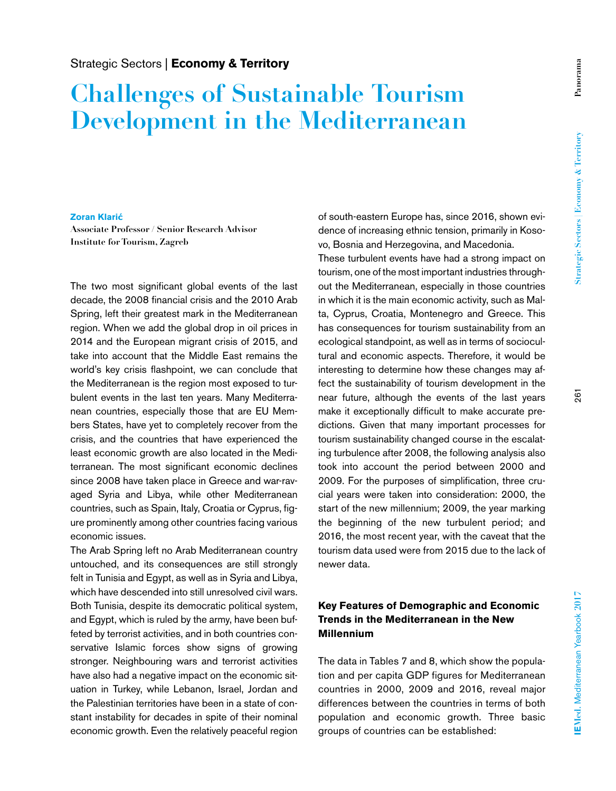# **Challenges of Sustainable Tourism Development in the Mediterranean**

#### **Zoran Klarić**

**Associate Professor / Senior Research Advisor Institute for Tourism, Zagreb**

The two most significant global events of the last decade, the 2008 financial crisis and the 2010 Arab Spring, left their greatest mark in the Mediterranean region. When we add the global drop in oil prices in 2014 and the European migrant crisis of 2015, and take into account that the Middle East remains the world's key crisis flashpoint, we can conclude that the Mediterranean is the region most exposed to turbulent events in the last ten years. Many Mediterranean countries, especially those that are EU Members States, have yet to completely recover from the crisis, and the countries that have experienced the least economic growth are also located in the Mediterranean. The most significant economic declines since 2008 have taken place in Greece and war-ravaged Syria and Libya, while other Mediterranean countries, such as Spain, Italy, Croatia or Cyprus, figure prominently among other countries facing various economic issues.

The Arab Spring left no Arab Mediterranean country untouched, and its consequences are still strongly felt in Tunisia and Egypt, as well as in Syria and Libya, which have descended into still unresolved civil wars. Both Tunisia, despite its democratic political system, and Egypt, which is ruled by the army, have been buffeted by terrorist activities, and in both countries conservative Islamic forces show signs of growing stronger. Neighbouring wars and terrorist activities have also had a negative impact on the economic situation in Turkey, while Lebanon, Israel, Jordan and the Palestinian territories have been in a state of constant instability for decades in spite of their nominal economic growth. Even the relatively peaceful region

of south-eastern Europe has, since 2016, shown evidence of increasing ethnic tension, primarily in Kosovo, Bosnia and Herzegovina, and Macedonia.

These turbulent events have had a strong impact on tourism, one of the most important industries throughout the Mediterranean, especially in those countries in which it is the main economic activity, such as Malta, Cyprus, Croatia, Montenegro and Greece. This has consequences for tourism sustainability from an ecological standpoint, as well as in terms of sociocultural and economic aspects. Therefore, it would be interesting to determine how these changes may affect the sustainability of tourism development in the near future, although the events of the last years make it exceptionally difficult to make accurate predictions. Given that many important processes for tourism sustainability changed course in the escalating turbulence after 2008, the following analysis also took into account the period between 2000 and 2009. For the purposes of simplification, three crucial years were taken into consideration: 2000, the start of the new millennium; 2009, the year marking the beginning of the new turbulent period; and 2016, the most recent year, with the caveat that the tourism data used were from 2015 due to the lack of newer data.

### **Key Features of Demographic and Economic Trends in the Mediterranean in the New Millennium**

The data in Tables 7 and 8, which show the population and per capita GDP figures for Mediterranean countries in 2000, 2009 and 2016, reveal major differences between the countries in terms of both population and economic growth. Three basic groups of countries can be established: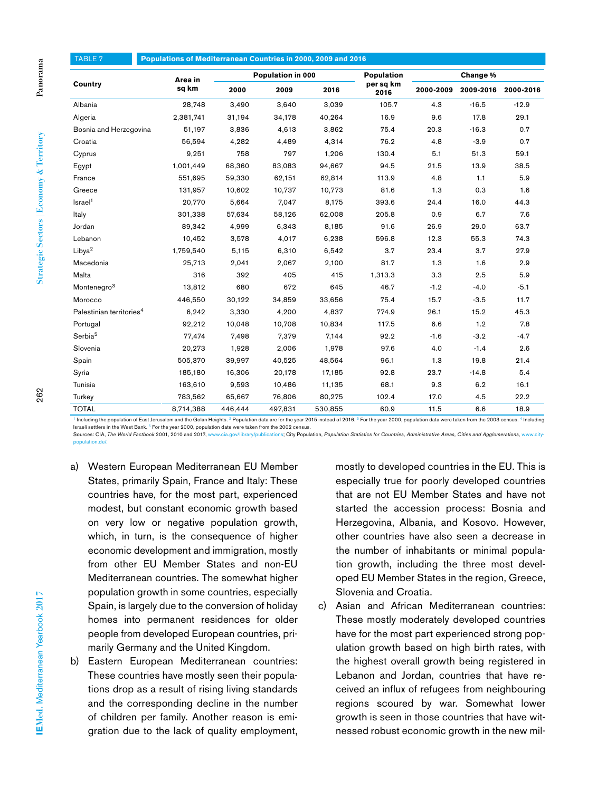| Country                              | Area in   | Population in 000 |         |         | <b>Population</b><br>per sq km | Change %  |           |           |  |  |
|--------------------------------------|-----------|-------------------|---------|---------|--------------------------------|-----------|-----------|-----------|--|--|
|                                      | sq km     | 2000              | 2009    | 2016    | 2016                           | 2000-2009 | 2009-2016 | 2000-2016 |  |  |
| Albania                              | 28,748    | 3,490             | 3,640   | 3,039   | 105.7                          | 4.3       | $-16.5$   | $-12.9$   |  |  |
| Algeria                              | 2,381,741 | 31,194            | 34,178  | 40,264  | 16.9                           | 9.6       | 17.8      | 29.1      |  |  |
| Bosnia and Herzegovina               | 51,197    | 3,836             | 4,613   | 3,862   | 75.4                           | 20.3      | $-16.3$   | 0.7       |  |  |
| Croatia                              | 56.594    | 4,282             | 4.489   | 4,314   | 76.2                           | 4.8       | $-3.9$    | 0.7       |  |  |
| Cyprus                               | 9,251     | 758               | 797     | 1,206   | 130.4                          | 5.1       | 51.3      | 59.1      |  |  |
| Egypt                                | 1,001,449 | 68,360            | 83,083  | 94,667  | 94.5                           | 21.5      | 13.9      | 38.5      |  |  |
| France                               | 551,695   | 59,330            | 62,151  | 62,814  | 113.9                          | 4.8       | 1.1       | 5.9       |  |  |
| Greece                               | 131,957   | 10,602            | 10,737  | 10,773  | 81.6                           | 1.3       | 0.3       | 1.6       |  |  |
| Israel <sup>1</sup>                  | 20,770    | 5,664             | 7,047   | 8,175   | 393.6                          | 24.4      | 16.0      | 44.3      |  |  |
| Italy                                | 301,338   | 57,634            | 58,126  | 62,008  | 205.8                          | 0.9       | 6.7       | 7.6       |  |  |
| Jordan                               | 89,342    | 4,999             | 6,343   | 8,185   | 91.6                           | 26.9      | 29.0      | 63.7      |  |  |
| Lebanon                              | 10.452    | 3,578             | 4,017   | 6,238   | 596.8                          | 12.3      | 55.3      | 74.3      |  |  |
| Libya <sup>2</sup>                   | 1,759,540 | 5,115             | 6,310   | 6,542   | 3.7                            | 23.4      | 3.7       | 27.9      |  |  |
| Macedonia                            | 25,713    | 2,041             | 2,067   | 2,100   | 81.7                           | 1.3       | 1.6       | 2.9       |  |  |
| Malta                                | 316       | 392               | 405     | 415     | 1,313.3                        | 3.3       | 2.5       | 5.9       |  |  |
| Montenegro <sup>3</sup>              | 13,812    | 680               | 672     | 645     | 46.7                           | $-1.2$    | $-4.0$    | $-5.1$    |  |  |
| Morocco                              | 446,550   | 30,122            | 34,859  | 33,656  | 75.4                           | 15.7      | $-3.5$    | 11.7      |  |  |
| Palestinian territories <sup>4</sup> | 6,242     | 3,330             | 4,200   | 4,837   | 774.9                          | 26.1      | 15.2      | 45.3      |  |  |
| Portugal                             | 92,212    | 10,048            | 10,708  | 10,834  | 117.5                          | 6.6       | 1.2       | 7.8       |  |  |
| Serbia <sup>5</sup>                  | 77,474    | 7,498             | 7,379   | 7,144   | 92.2                           | $-1.6$    | $-3.2$    | $-4.7$    |  |  |
| Slovenia                             | 20,273    | 1,928             | 2,006   | 1,978   | 97.6                           | 4.0       | $-1.4$    | 2.6       |  |  |
| Spain                                | 505,370   | 39,997            | 40,525  | 48,564  | 96.1                           | 1.3       | 19.8      | 21.4      |  |  |
| Syria                                | 185,180   | 16,306            | 20,178  | 17,185  | 92.8                           | 23.7      | $-14.8$   | 5.4       |  |  |
| Tunisia                              | 163,610   | 9,593             | 10,486  | 11,135  | 68.1                           | 9.3       | 6.2       | 16.1      |  |  |
| Turkey                               | 783,562   | 65,667            | 76,806  | 80,275  | 102.4                          | 17.0      | 4.5       | 22.2      |  |  |
| <b>TOTAL</b>                         | 8,714,388 | 446.444           | 497,831 | 530,855 | 60.9                           | 11.5      | 6.6       | 18.9      |  |  |

Including the population of East Jerusalem and the Golan Heights.<sup>2</sup> Population data are for the year 2015 instead of 2016.<sup>3</sup> For the year 2000, population data were taken from the 2003 census.<sup>4</sup> Including Israeli settlers in the West Bank. <sup>5</sup> For the year 2000, population date were taken from the 2002 census.<br>Sources: CIA, The World Factbook 2001, 2010 and 2017, www.cia.gov/library/publications; City Popu

ns: City Population, *Population Statistics for Countries, Administrative Areas, Cities and Agglomerations, www.city* population.de/.

- a) Western European Mediterranean EU Member States, primarily Spain, France and Italy: These countries have, for the most part, experienced modest, but constant economic growth based on very low or negative population growth, which, in turn, is the consequence of higher economic development and immigration, mostly from other EU Member States and non-EU Mediterranean countries. The somewhat higher population growth in some countries, especially Spain, is largely due to the conversion of holiday homes into permanent residences for older people from developed European countries, primarily Germany and the United Kingdom.
- b) Eastern European Mediterranean countries: These countries have mostly seen their populations drop as a result of rising living standards and the corresponding decline in the number of children per family. Another reason is emigration due to the lack of quality employment,

mostly to developed countries in the EU. This is especially true for poorly developed countries that are not EU Member States and have not started the accession process: Bosnia and Herzegovina, Albania, and Kosovo. However, other countries have also seen a decrease in the number of inhabitants or minimal population growth, including the three most developed EU Member States in the region, Greece, Slovenia and Croatia.

c) Asian and African Mediterranean countries: These mostly moderately developed countries have for the most part experienced strong population growth based on high birth rates, with the highest overall growth being registered in Lebanon and Jordan, countries that have received an influx of refugees from neighbouring regions scoured by war. Somewhat lower growth is seen in those countries that have witnessed robust economic growth in the new mil-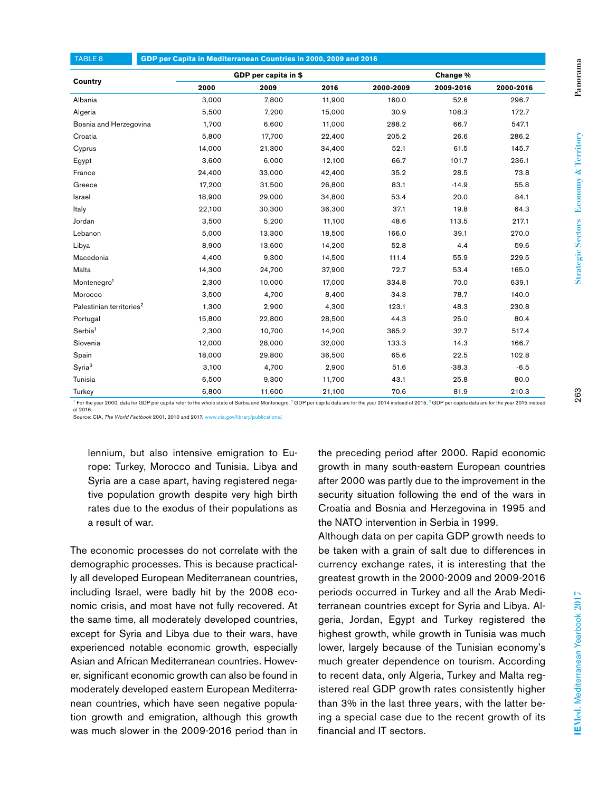| GDP per Capita in Mediterranean Countries in 2000, 2009 and 2016<br><b>TABLE 8</b> |        |                      |        |           |           |           |  |  |  |
|------------------------------------------------------------------------------------|--------|----------------------|--------|-----------|-----------|-----------|--|--|--|
|                                                                                    |        | GDP per capita in \$ |        |           | Change %  |           |  |  |  |
| Country                                                                            | 2000   | 2009                 | 2016   | 2000-2009 | 2009-2016 | 2000-2016 |  |  |  |
| Albania                                                                            | 3,000  | 7,800                | 11,900 | 160.0     | 52.6      | 296.7     |  |  |  |
| Algeria                                                                            | 5,500  | 7,200                | 15,000 | 30.9      | 108.3     | 172.7     |  |  |  |
| Bosnia and Herzegovina                                                             | 1,700  | 6,600                | 11,000 | 288.2     | 66.7      | 547.1     |  |  |  |
| Croatia                                                                            | 5,800  | 17,700               | 22,400 | 205.2     | 26.6      | 286.2     |  |  |  |
| Cyprus                                                                             | 14,000 | 21,300               | 34,400 | 52.1      | 61.5      | 145.7     |  |  |  |
| Egypt                                                                              | 3,600  | 6,000                | 12,100 | 66.7      | 101.7     | 236.1     |  |  |  |
| France                                                                             | 24,400 | 33,000               | 42,400 | 35.2      | 28.5      | 73.8      |  |  |  |
| Greece                                                                             | 17,200 | 31,500               | 26,800 | 83.1      | $-14.9$   | 55.8      |  |  |  |
| Israel                                                                             | 18,900 | 29,000               | 34,800 | 53.4      | 20.0      | 84.1      |  |  |  |
| Italy                                                                              | 22,100 | 30,300               | 36,300 | 37.1      | 19.8      | 64.3      |  |  |  |
| Jordan                                                                             | 3,500  | 5,200                | 11,100 | 48.6      | 113.5     | 217.1     |  |  |  |
| Lebanon                                                                            | 5,000  | 13,300               | 18,500 | 166.0     | 39.1      | 270.0     |  |  |  |
| Libya                                                                              | 8,900  | 13,600               | 14,200 | 52.8      | 4.4       | 59.6      |  |  |  |
| Macedonia                                                                          | 4,400  | 9,300                | 14,500 | 111.4     | 55.9      | 229.5     |  |  |  |
| Malta                                                                              | 14,300 | 24,700               | 37,900 | 72.7      | 53.4      | 165.0     |  |  |  |
| Montenegro <sup>1</sup>                                                            | 2,300  | 10,000               | 17,000 | 334.8     | 70.0      | 639.1     |  |  |  |
| Morocco                                                                            | 3,500  | 4,700                | 8,400  | 34.3      | 78.7      | 140.0     |  |  |  |
| Palestinian territories <sup>2</sup>                                               | 1,300  | 2,900                | 4,300  | 123.1     | 48.3      | 230.8     |  |  |  |
| Portugal                                                                           | 15,800 | 22,800               | 28,500 | 44.3      | 25.0      | 80.4      |  |  |  |
| Serbia <sup>1</sup>                                                                | 2,300  | 10,700               | 14,200 | 365.2     | 32.7      | 517.4     |  |  |  |
| Slovenia                                                                           | 12,000 | 28,000               | 32,000 | 133.3     | 14.3      | 166.7     |  |  |  |
| Spain                                                                              | 18,000 | 29,800               | 36,500 | 65.6      | 22.5      | 102.8     |  |  |  |
| Syria <sup>3</sup>                                                                 | 3,100  | 4,700                | 2,900  | 51.6      | $-38.3$   | $-6.5$    |  |  |  |
| Tunisia                                                                            | 6,500  | 9,300                | 11,700 | 43.1      | 25.8      | 80.0      |  |  |  |
| Turkey                                                                             | 6,800  | 11,600               | 21,100 | 70.6      | 81.9      | 210.3     |  |  |  |

<sup>1</sup> For the year 2000, data for GDP per capita refer to the whole state of Serbia and Montenegro. <sup>2</sup> GDP per capita data are for the year 2014 instead of 2015. <sup>3</sup> GDP per capita data are for the year 2015 instead  $of 2016$ 

Source: CIA, *The World Factbook* 2001, 2010 and 2017, www.cia.gov/library/publications/.

lennium, but also intensive emigration to Europe: Turkey, Morocco and Tunisia. Libya and Syria are a case apart, having registered negative population growth despite very high birth rates due to the exodus of their populations as a result of war.

The economic processes do not correlate with the demographic processes. This is because practically all developed European Mediterranean countries, including Israel, were badly hit by the 2008 economic crisis, and most have not fully recovered. At the same time, all moderately developed countries, except for Syria and Libya due to their wars, have experienced notable economic growth, especially Asian and African Mediterranean countries. However, significant economic growth can also be found in moderately developed eastern European Mediterranean countries, which have seen negative population growth and emigration, although this growth was much slower in the 2009-2016 period than in

the preceding period after 2000. Rapid economic growth in many south-eastern European countries after 2000 was partly due to the improvement in the security situation following the end of the wars in Croatia and Bosnia and Herzegovina in 1995 and the NATO intervention in Serbia in 1999.

Although data on per capita GDP growth needs to be taken with a grain of salt due to differences in currency exchange rates, it is interesting that the greatest growth in the 2000-2009 and 2009-2016 periods occurred in Turkey and all the Arab Mediterranean countries except for Syria and Libya. Algeria, Jordan, Egypt and Turkey registered the highest growth, while growth in Tunisia was much lower, largely because of the Tunisian economy's much greater dependence on tourism. According to recent data, only Algeria, Turkey and Malta registered real GDP growth rates consistently higher than 3% in the last three years, with the latter being a special case due to the recent growth of its financial and IT sectors.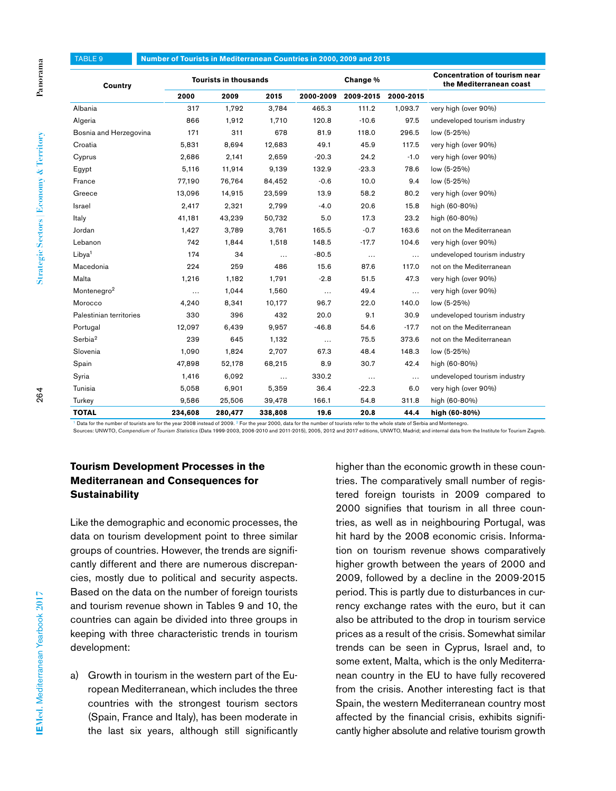| <b>TABLE 9</b>          | Number of Tourists in Mediterranean Countries in 2000, 2009 and 2015 |         |          |           |           |           |                                                                 |  |  |
|-------------------------|----------------------------------------------------------------------|---------|----------|-----------|-----------|-----------|-----------------------------------------------------------------|--|--|
| Country                 | <b>Tourists in thousands</b>                                         |         |          |           | Change %  |           | <b>Concentration of tourism near</b><br>the Mediterranean coast |  |  |
|                         | 2000                                                                 | 2009    | 2015     | 2000-2009 | 2009-2015 | 2000-2015 |                                                                 |  |  |
| Albania                 | 317                                                                  | 1,792   | 3,784    | 465.3     | 111.2     | 1,093.7   | very high (over 90%)                                            |  |  |
| Algeria                 | 866                                                                  | 1,912   | 1,710    | 120.8     | $-10.6$   | 97.5      | undeveloped tourism industry                                    |  |  |
| Bosnia and Herzegovina  | 171                                                                  | 311     | 678      | 81.9      | 118.0     | 296.5     | low (5-25%)                                                     |  |  |
| Croatia                 | 5,831                                                                | 8,694   | 12,683   | 49.1      | 45.9      | 117.5     | very high (over 90%)                                            |  |  |
| Cyprus                  | 2,686                                                                | 2,141   | 2,659    | $-20.3$   | 24.2      | $-1.0$    | very high (over 90%)                                            |  |  |
| Egypt                   | 5,116                                                                | 11,914  | 9,139    | 132.9     | $-23.3$   | 78.6      | low (5-25%)                                                     |  |  |
| France                  | 77,190                                                               | 76,764  | 84,452   | $-0.6$    | 10.0      | 9.4       | low (5-25%)                                                     |  |  |
| Greece                  | 13,096                                                               | 14,915  | 23,599   | 13.9      | 58.2      | 80.2      | very high (over 90%)                                            |  |  |
| Israel                  | 2,417                                                                | 2,321   | 2,799    | $-4.0$    | 20.6      | 15.8      | high (60-80%)                                                   |  |  |
| Italy                   | 41,181                                                               | 43,239  | 50,732   | 5.0       | 17.3      | 23.2      | high (60-80%)                                                   |  |  |
| Jordan                  | 1,427                                                                | 3,789   | 3,761    | 165.5     | $-0.7$    | 163.6     | not on the Mediterranean                                        |  |  |
| Lebanon                 | 742                                                                  | 1,844   | 1,518    | 148.5     | $-17.7$   | 104.6     | very high (over 90%)                                            |  |  |
| Libya <sup>1</sup>      | 174                                                                  | 34      | $\cdots$ | $-80.5$   | $\cdots$  | $\ddotsc$ | undeveloped tourism industry                                    |  |  |
| Macedonia               | 224                                                                  | 259     | 486      | 15.6      | 87.6      | 117.0     | not on the Mediterranean                                        |  |  |
| Malta                   | 1,216                                                                | 1,182   | 1,791    | $-2.8$    | 51.5      | 47.3      | very high (over 90%)                                            |  |  |
| Montenegro <sup>2</sup> | $\cdots$                                                             | 1,044   | 1,560    | $\cdots$  | 49.4      | $\cdots$  | very high (over 90%)                                            |  |  |
| Morocco                 | 4,240                                                                | 8,341   | 10,177   | 96.7      | 22.0      | 140.0     | low (5-25%)                                                     |  |  |
| Palestinian territories | 330                                                                  | 396     | 432      | 20.0      | 9.1       | 30.9      | undeveloped tourism industry                                    |  |  |
| Portugal                | 12,097                                                               | 6,439   | 9,957    | $-46.8$   | 54.6      | $-17.7$   | not on the Mediterranean                                        |  |  |
| Serbia <sup>2</sup>     | 239                                                                  | 645     | 1,132    | $\cdots$  | 75.5      | 373.6     | not on the Mediterranean                                        |  |  |
| Slovenia                | 1,090                                                                | 1,824   | 2,707    | 67.3      | 48.4      | 148.3     | low (5-25%)                                                     |  |  |
| Spain                   | 47,898                                                               | 52,178  | 68,215   | 8.9       | 30.7      | 42.4      | high (60-80%)                                                   |  |  |
| Syria                   | 1,416                                                                | 6,092   | .        | 330.2     | $\ldots$  | $\ddotsc$ | undeveloped tourism industry                                    |  |  |
| Tunisia                 | 5,058                                                                | 6,901   | 5,359    | 36.4      | $-22.3$   | 6.0       | very high (over 90%)                                            |  |  |
| Turkey                  | 9.586                                                                | 25.506  | 39,478   | 166.1     | 54.8      | 311.8     | high (60-80%)                                                   |  |  |
| <b>TOTAL</b>            | 234,608                                                              | 280,477 | 338,808  | 19.6      | 20.8      | 44.4      | high (60-80%)                                                   |  |  |

<sup>1</sup> Data for the number of tourists are for the year 2008 instead of 2009. <sup>2</sup> For the year 2000, data for the number of tourists refer to the whole state of Serbia and Montenegro.<br>Sources: UNWTO, C*ompendium of Tourism St* 

## **Tourism Development Processes in the Mediterranean and Consequences for Sustainability**

Like the demographic and economic processes, the data on tourism development point to three similar groups of countries. However, the trends are significantly different and there are numerous discrepancies, mostly due to political and security aspects. Based on the data on the number of foreign tourists and tourism revenue shown in Tables 9 and 10, the countries can again be divided into three groups in keeping with three characteristic trends in tourism development:

a) Growth in tourism in the western part of the European Mediterranean, which includes the three countries with the strongest tourism sectors (Spain, France and Italy), has been moderate in the last six years, although still significantly

higher than the economic growth in these countries. The comparatively small number of registered foreign tourists in 2009 compared to 2000 signifies that tourism in all three countries, as well as in neighbouring Portugal, was hit hard by the 2008 economic crisis. Information on tourism revenue shows comparatively higher growth between the years of 2000 and 2009, followed by a decline in the 2009-2015 period. This is partly due to disturbances in currency exchange rates with the euro, but it can also be attributed to the drop in tourism service prices as a result of the crisis. Somewhat similar trends can be seen in Cyprus, Israel and, to some extent, Malta, which is the only Mediterranean country in the EU to have fully recovered from the crisis. Another interesting fact is that Spain, the western Mediterranean country most affected by the financial crisis, exhibits significantly higher absolute and relative tourism growth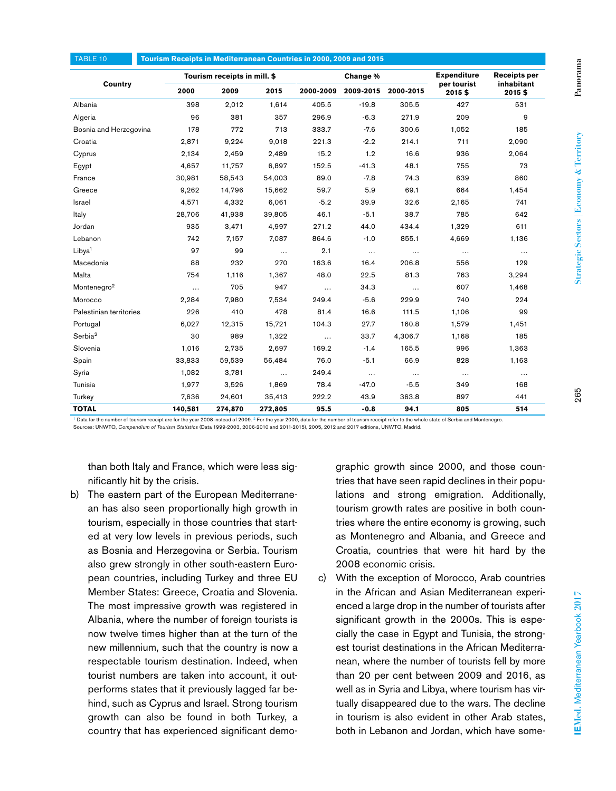| TABLE 10                | Tourism Receipts in Mediterranean Countries in 2000, 2009 and 2015 |         |          |           |           |           |                                   |                                   |
|-------------------------|--------------------------------------------------------------------|---------|----------|-----------|-----------|-----------|-----------------------------------|-----------------------------------|
| Country                 | Tourism receipts in mill. \$                                       |         |          | Change %  |           |           | <b>Expenditure</b><br>per tourist | <b>Receipts per</b><br>inhabitant |
|                         | 2000                                                               | 2009    | 2015     | 2000-2009 | 2009-2015 | 2000-2015 | 2015\$                            | 2015\$                            |
| Albania                 | 398                                                                | 2,012   | 1,614    | 405.5     | $-19.8$   | 305.5     | 427                               | 531                               |
| Algeria                 | 96                                                                 | 381     | 357      | 296.9     | $-6.3$    | 271.9     | 209                               | 9                                 |
| Bosnia and Herzegovina  | 178                                                                | 772     | 713      | 333.7     | $-7.6$    | 300.6     | 1,052                             | 185                               |
| Croatia                 | 2,871                                                              | 9,224   | 9,018    | 221.3     | $-2.2$    | 214.1     | 711                               | 2,090                             |
| Cyprus                  | 2,134                                                              | 2,459   | 2,489    | 15.2      | 1.2       | 16.6      | 936                               | 2,064                             |
| Egypt                   | 4,657                                                              | 11,757  | 6,897    | 152.5     | $-41.3$   | 48.1      | 755                               | 73                                |
| France                  | 30,981                                                             | 58,543  | 54,003   | 89.0      | $-7.8$    | 74.3      | 639                               | 860                               |
| Greece                  | 9,262                                                              | 14,796  | 15,662   | 59.7      | 5.9       | 69.1      | 664                               | 1,454                             |
| Israel                  | 4,571                                                              | 4,332   | 6.061    | $-5.2$    | 39.9      | 32.6      | 2,165                             | 741                               |
| Italy                   | 28,706                                                             | 41,938  | 39,805   | 46.1      | $-5.1$    | 38.7      | 785                               | 642                               |
| Jordan                  | 935                                                                | 3,471   | 4,997    | 271.2     | 44.0      | 434.4     | 1,329                             | 611                               |
| Lebanon                 | 742                                                                | 7,157   | 7,087    | 864.6     | $-1.0$    | 855.1     | 4,669                             | 1,136                             |
| Libya <sup>1</sup>      | 97                                                                 | 99      | $\ldots$ | 2.1       | $\cdots$  | $\cdots$  | $\cdots$                          | $\ldots$                          |
| Macedonia               | 88                                                                 | 232     | 270      | 163.6     | 16.4      | 206.8     | 556                               | 129                               |
| Malta                   | 754                                                                | 1,116   | 1,367    | 48.0      | 22.5      | 81.3      | 763                               | 3,294                             |
| Montenegro <sup>2</sup> | $\ldots$                                                           | 705     | 947      | $\cdots$  | 34.3      | $\cdots$  | 607                               | 1,468                             |
| Morocco                 | 2,284                                                              | 7,980   | 7,534    | 249.4     | $-5.6$    | 229.9     | 740                               | 224                               |
| Palestinian territories | 226                                                                | 410     | 478      | 81.4      | 16.6      | 111.5     | 1,106                             | 99                                |
| Portugal                | 6,027                                                              | 12,315  | 15,721   | 104.3     | 27.7      | 160.8     | 1,579                             | 1,451                             |
| Serbia <sup>2</sup>     | 30                                                                 | 989     | 1,322    | $\cdots$  | 33.7      | 4,306.7   | 1,168                             | 185                               |
| Slovenia                | 1,016                                                              | 2,735   | 2,697    | 169.2     | $-1.4$    | 165.5     | 996                               | 1,363                             |
| Spain                   | 33,833                                                             | 59,539  | 56,484   | 76.0      | $-5.1$    | 66.9      | 828                               | 1,163                             |
| Syria                   | 1,082                                                              | 3,781   | $\ldots$ | 249.4     | $\ldots$  | $\cdots$  | $\ldots$                          | $\cdots$                          |
| Tunisia                 | 1,977                                                              | 3,526   | 1,869    | 78.4      | $-47.0$   | $-5.5$    | 349                               | 168                               |
| Turkey                  | 7,636                                                              | 24,601  | 35,413   | 222.2     | 43.9      | 363.8     | 897                               | 441                               |
| <b>TOTAL</b>            | 140,581                                                            | 274,870 | 272,805  | 95.5      | $-0.8$    | 94.1      | 805                               | 514                               |

<sup>1</sup> Data for the number of tourism receipt are for the year 2008 instead of 2009.<sup>2</sup> For the year 2000, data for the number of tourism receipt refer to the whole state of Serbia and Montenegro. Sources: UNWTO, *Compendium of Tourism Statistics* (Data 1999-2003, 2006-2010 and 2011-2015), 2005, 2012 and 2017 editions, UNWTO, Madrid.

than both Italy and France, which were less significantly hit by the crisis.

b) The eastern part of the European Mediterranean has also seen proportionally high growth in tourism, especially in those countries that started at very low levels in previous periods, such as Bosnia and Herzegovina or Serbia. Tourism also grew strongly in other south-eastern European countries, including Turkey and three EU Member States: Greece, Croatia and Slovenia. The most impressive growth was registered in Albania, where the number of foreign tourists is now twelve times higher than at the turn of the new millennium, such that the country is now a respectable tourism destination. Indeed, when tourist numbers are taken into account, it outperforms states that it previously lagged far behind, such as Cyprus and Israel. Strong tourism growth can also be found in both Turkey, a country that has experienced significant demographic growth since 2000, and those countries that have seen rapid declines in their populations and strong emigration. Additionally, tourism growth rates are positive in both countries where the entire economy is growing, such as Montenegro and Albania, and Greece and Croatia, countries that were hit hard by the 2008 economic crisis.

c) With the exception of Morocco, Arab countries in the African and Asian Mediterranean experienced a large drop in the number of tourists after significant growth in the 2000s. This is especially the case in Egypt and Tunisia, the strongest tourist destinations in the African Mediterranean, where the number of tourists fell by more than 20 per cent between 2009 and 2016, as well as in Syria and Libya, where tourism has virtually disappeared due to the wars. The decline in tourism is also evident in other Arab states, both in Lebanon and Jordan, which have some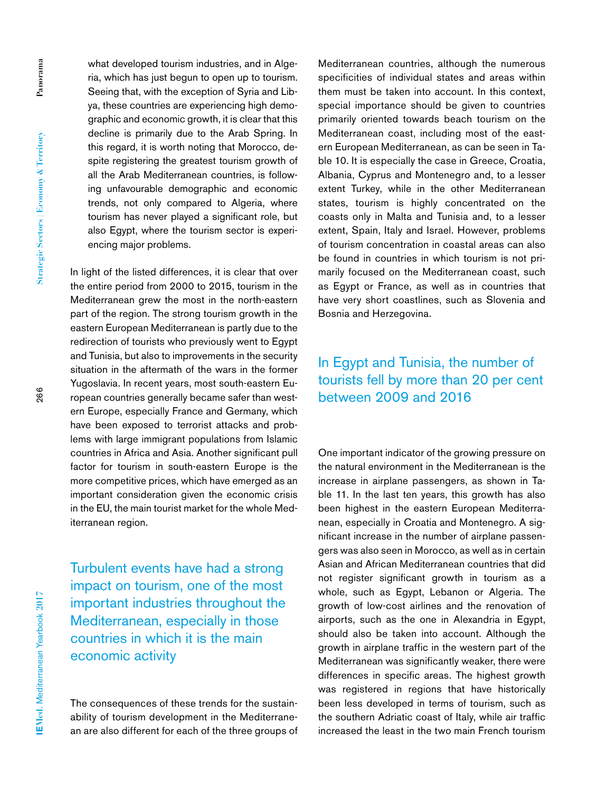what developed tourism industries, and in Algeria, which has just begun to open up to tourism. Seeing that, with the exception of Syria and Libya, these countries are experiencing high demographic and economic growth, it is clear that this decline is primarily due to the Arab Spring. In this regard, it is worth noting that Morocco, despite registering the greatest tourism growth of all the Arab Mediterranean countries, is following unfavourable demographic and economic trends, not only compared to Algeria, where tourism has never played a significant role, but also Egypt, where the tourism sector is experiencing major problems.

In light of the listed differences, it is clear that over the entire period from 2000 to 2015, tourism in the Mediterranean grew the most in the north-eastern part of the region. The strong tourism growth in the eastern European Mediterranean is partly due to the redirection of tourists who previously went to Egypt and Tunisia, but also to improvements in the security situation in the aftermath of the wars in the former Yugoslavia. In recent years, most south-eastern European countries generally became safer than western Europe, especially France and Germany, which have been exposed to terrorist attacks and problems with large immigrant populations from Islamic countries in Africa and Asia. Another significant pull factor for tourism in south-eastern Europe is the more competitive prices, which have emerged as an important consideration given the economic crisis in the EU, the main tourist market for the whole Mediterranean region.

Turbulent events have had a strong impact on tourism, one of the most important industries throughout the Mediterranean, especially in those countries in which it is the main economic activity

The consequences of these trends for the sustainability of tourism development in the Mediterranean are also different for each of the three groups of

Mediterranean countries, although the numerous specificities of individual states and areas within them must be taken into account. In this context, special importance should be given to countries primarily oriented towards beach tourism on the Mediterranean coast, including most of the eastern European Mediterranean, as can be seen in Table 10. It is especially the case in Greece, Croatia, Albania, Cyprus and Montenegro and, to a lesser extent Turkey, while in the other Mediterranean states, tourism is highly concentrated on the coasts only in Malta and Tunisia and, to a lesser extent, Spain, Italy and Israel. However, problems of tourism concentration in coastal areas can also be found in countries in which tourism is not primarily focused on the Mediterranean coast, such as Egypt or France, as well as in countries that have very short coastlines, such as Slovenia and Bosnia and Herzegovina.

# In Egypt and Tunisia, the number of tourists fell by more than 20 per cent between 2009 and 2016

One important indicator of the growing pressure on the natural environment in the Mediterranean is the increase in airplane passengers, as shown in Table 11. In the last ten years, this growth has also been highest in the eastern European Mediterranean, especially in Croatia and Montenegro. A significant increase in the number of airplane passengers was also seen in Morocco, as well as in certain Asian and African Mediterranean countries that did not register significant growth in tourism as a whole, such as Egypt, Lebanon or Algeria. The growth of low-cost airlines and the renovation of airports, such as the one in Alexandria in Egypt, should also be taken into account. Although the growth in airplane traffic in the western part of the Mediterranean was significantly weaker, there were differences in specific areas. The highest growth was registered in regions that have historically been less developed in terms of tourism, such as the southern Adriatic coast of Italy, while air traffic increased the least in the two main French tourism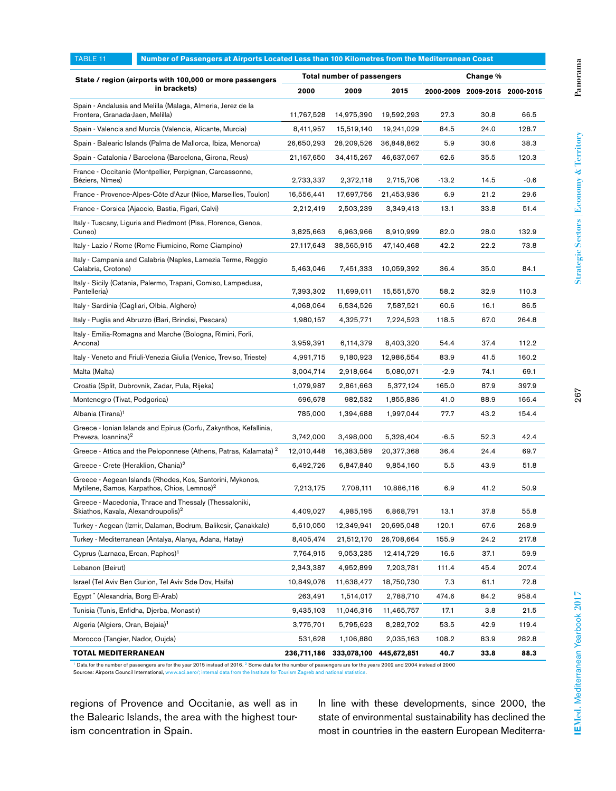| TABLE 11                                                                                        | Number of Passengers at Airports Located Less than 100 Kilometres from the Mediterranean Coast                       |                                               |             |             |         |                               |        |  |  |
|-------------------------------------------------------------------------------------------------|----------------------------------------------------------------------------------------------------------------------|-----------------------------------------------|-------------|-------------|---------|-------------------------------|--------|--|--|
|                                                                                                 | State / region (airports with 100,000 or more passengers                                                             | <b>Total number of passengers</b><br>Change % |             |             |         |                               |        |  |  |
| in brackets)                                                                                    |                                                                                                                      | 2000                                          | 2009        | 2015        |         | 2000-2009 2009-2015 2000-2015 |        |  |  |
| Spain - Andalusia and Melilla (Malaga, Almeria, Jerez de la<br>Frontera, Granada-Jaen, Melilla) |                                                                                                                      | 11,767,528                                    | 14,975,390  | 19,592,293  | 27.3    | 30.8                          | 66.5   |  |  |
| Spain - Valencia and Murcia (Valencia, Alicante, Murcia)                                        |                                                                                                                      | 8,411,957                                     | 15,519,140  | 19,241,029  | 84.5    | 24.0                          | 128.7  |  |  |
|                                                                                                 | Spain - Balearic Islands (Palma de Mallorca, Ibiza, Menorca)                                                         | 26,650,293                                    | 28,209,526  | 36,848,862  | 5.9     | 30.6                          | 38.3   |  |  |
|                                                                                                 | Spain - Catalonia / Barcelona (Barcelona, Girona, Reus)                                                              | 21,167,650                                    | 34,415,267  | 46,637,067  | 62.6    | 35.5                          | 120.3  |  |  |
| Béziers, Nîmes)                                                                                 | France - Occitanie (Montpellier, Perpignan, Carcassonne,                                                             | 2,733,337                                     | 2,372,118   | 2,715,706   | $-13.2$ | 14.5                          | $-0.6$ |  |  |
|                                                                                                 | France - Provence-Alpes-Côte d'Azur (Nice, Marseilles, Toulon)                                                       | 16,556,441                                    | 17,697,756  | 21,453,936  | 6.9     | 21.2                          | 29.6   |  |  |
|                                                                                                 | France - Corsica (Ajaccio, Bastia, Figari, Calvi)                                                                    | 2,212,419                                     | 2,503,239   | 3,349,413   | 13.1    | 33.8                          | 51.4   |  |  |
| Cuneo)                                                                                          | Italy - Tuscany, Liguria and Piedmont (Pisa, Florence, Genoa,                                                        | 3,825,663                                     | 6,963,966   | 8,910,999   | 82.0    | 28.0                          | 132.9  |  |  |
|                                                                                                 | Italy - Lazio / Rome (Rome Fiumicino, Rome Ciampino)                                                                 | 27,117,643                                    | 38,565,915  | 47,140,468  | 42.2    | 22.2                          | 73.8   |  |  |
| Calabria, Crotone)                                                                              | Italy - Campania and Calabria (Naples, Lamezia Terme, Reggio                                                         | 5,463,046                                     | 7,451,333   | 10,059,392  | 36.4    | 35.0                          | 84.1   |  |  |
| Pantelleria)                                                                                    | Italy - Sicily (Catania, Palermo, Trapani, Comiso, Lampedusa,                                                        | 7,393,302                                     | 11,699,011  | 15,551,570  | 58.2    | 32.9                          | 110.3  |  |  |
|                                                                                                 | Italy - Sardinia (Cagliari, Olbia, Alghero)                                                                          | 4,068,064                                     | 6,534,526   | 7,587,521   | 60.6    | 16.1                          | 86.5   |  |  |
|                                                                                                 | Italy - Puglia and Abruzzo (Bari, Brindisi, Pescara)                                                                 | 1,980,157                                     | 4,325,771   | 7,224,523   | 118.5   | 67.0                          | 264.8  |  |  |
| Italy - Emilia-Romagna and Marche (Bologna, Rimini, Forli,<br>Ancona)                           |                                                                                                                      | 3,959,391                                     | 6,114,379   | 8,403,320   | 54.4    | 37.4                          | 112.2  |  |  |
|                                                                                                 | Italy - Veneto and Friuli-Venezia Giulia (Venice, Treviso, Trieste)                                                  | 4,991,715                                     | 9,180,923   | 12,986,554  | 83.9    | 41.5                          | 160.2  |  |  |
| Malta (Malta)                                                                                   |                                                                                                                      | 3,004,714                                     | 2,918,664   | 5,080,071   | $-2.9$  | 74.1                          | 69.1   |  |  |
| Croatia (Split, Dubrovnik, Zadar, Pula, Rijeka)                                                 |                                                                                                                      | 1,079,987                                     | 2,861,663   | 5,377,124   | 165.0   | 87.9                          | 397.9  |  |  |
| Montenegro (Tivat, Podgorica)                                                                   |                                                                                                                      | 696,678                                       | 982,532     | 1,855,836   | 41.0    | 88.9                          | 166.4  |  |  |
| Albania (Tirana) <sup>1</sup>                                                                   |                                                                                                                      | 785,000                                       | 1,394,688   | 1,997,044   | 77.7    | 43.2                          | 154.4  |  |  |
| Preveza, Ioannina) <sup>2</sup>                                                                 | Greece - Ionian Islands and Epirus (Corfu, Zakynthos, Kefallinia,                                                    |                                               | 3,498,000   | 5,328,404   | $-6.5$  | 52.3                          | 42.4   |  |  |
|                                                                                                 | Greece - Attica and the Peloponnese (Athens, Patras, Kalamata) <sup>2</sup>                                          | 12,010,448                                    | 16,383,589  | 20,377,368  | 36.4    | 24.4                          | 69.7   |  |  |
| Greece - Crete (Heraklion, Chania) <sup>2</sup>                                                 |                                                                                                                      | 6,492,726                                     | 6,847,840   | 9,854,160   | 5.5     | 43.9                          | 51.8   |  |  |
|                                                                                                 | Greece - Aegean Islands (Rhodes, Kos, Santorini, Mykonos,<br>Mytilene, Samos, Karpathos, Chios, Lemnos) <sup>2</sup> | 7,213,175                                     | 7,708,111   | 10,886,116  | 6.9     | 41.2                          | 50.9   |  |  |
| Skiathos, Kavala, Alexandroupolis) <sup>2</sup>                                                 | Greece - Macedonia, Thrace and Thessaly (Thessaloniki,                                                               | 4,409,027                                     | 4,985,195   | 6,868,791   | 13.1    | 37.8                          | 55.8   |  |  |
|                                                                                                 | Turkey - Aegean (Izmir, Dalaman, Bodrum, Balikesir, Çanakkale)                                                       | 5,610,050                                     | 12,349,941  | 20,695,048  | 120.1   | 67.6                          | 268.9  |  |  |
|                                                                                                 | Turkey - Mediterranean (Antalya, Alanya, Adana, Hatay)                                                               | 8,405,474                                     | 21,512,170  | 26,708,664  | 155.9   | 24.2                          | 217.8  |  |  |
|                                                                                                 | Cyprus (Larnaca, Ercan, Paphos) <sup>1</sup>                                                                         |                                               | 9,053,235   | 12,414,729  | 16.6    | 37.1                          | 59.9   |  |  |
| Lebanon (Beirut)                                                                                |                                                                                                                      |                                               | 4,952,899   | 7,203,781   | 111.4   | 45.4                          | 207.4  |  |  |
| Israel (Tel Aviv Ben Gurion, Tel Aviv Sde Dov, Haifa)                                           |                                                                                                                      | 10,849,076                                    | 11,638,477  | 18,750,730  | 7.3     | 61.1                          | 72.8   |  |  |
| Egypt <sup>*</sup> (Alexandria, Borg El-Arab)                                                   |                                                                                                                      | 263,491                                       | 1,514,017   | 2,788,710   | 474.6   | 84.2                          | 958.4  |  |  |
| Tunisia (Tunis, Enfidha, Djerba, Monastir)                                                      |                                                                                                                      | 9,435,103                                     | 11,046,316  | 11,465,757  | 17.1    | 3.8                           | 21.5   |  |  |
| Algeria (Algiers, Oran, Bejaia) <sup>1</sup>                                                    |                                                                                                                      | 3,775,701                                     | 5,795,623   | 8,282,702   | 53.5    | 42.9                          | 119.4  |  |  |
| Morocco (Tangier, Nador, Oujda)                                                                 |                                                                                                                      | 531,628                                       | 1,106,880   | 2,035,163   | 108.2   | 83.9                          | 282.8  |  |  |
| <b>TOTAL MEDITERRANEAN</b>                                                                      |                                                                                                                      | 236,711,186                                   | 333,078,100 | 445,672,851 | 40.7    | 33.8                          | 88.3   |  |  |

<sup>1</sup> Data for the number of passengers are for the year 2015 instead of 2016.<sup>2</sup> Some data for the number of passengers are for the years 2002 and 2004 instead of 2000<br>Sources: Airports Council International, www.aci.aero/;

regions of Provence and Occitanie, as well as in the Balearic Islands, the area with the highest tourism concentration in Spain.

Sources: Airports Council International, ww

In line with these developments, since 2000, the state of environmental sustainability has declined the most in countries in the eastern European Mediterra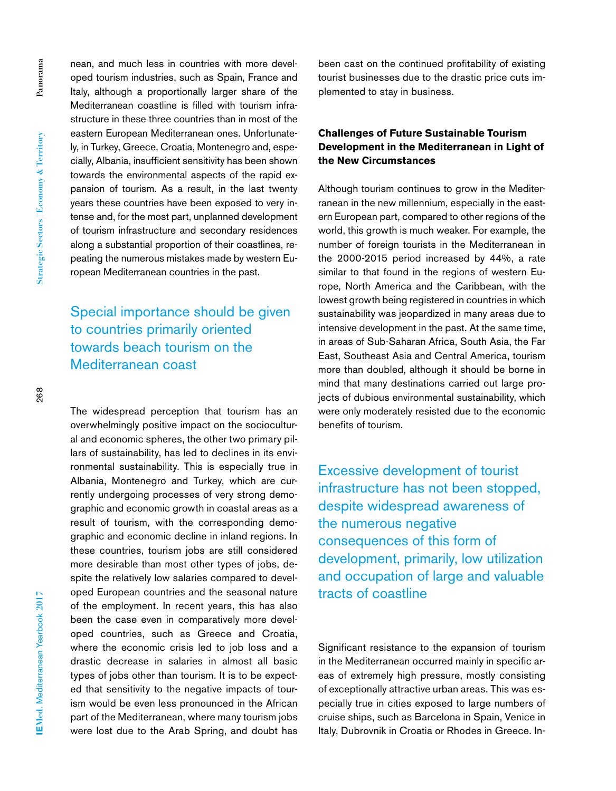268

nean, and much less in countries with more developed tourism industries, such as Spain, France and Italy, although a proportionally larger share of the Mediterranean coastline is filled with tourism infrastructure in these three countries than in most of the eastern European Mediterranean ones. Unfortunately, in Turkey, Greece, Croatia, Montenegro and, especially, Albania, insufficient sensitivity has been shown towards the environmental aspects of the rapid expansion of tourism. As a result, in the last twenty years these countries have been exposed to very intense and, for the most part, unplanned development of tourism infrastructure and secondary residences along a substantial proportion of their coastlines, repeating the numerous mistakes made by western European Mediterranean countries in the past.

# Special importance should be given to countries primarily oriented towards beach tourism on the Mediterranean coast

The widespread perception that tourism has an overwhelmingly positive impact on the sociocultural and economic spheres, the other two primary pillars of sustainability, has led to declines in its environmental sustainability. This is especially true in Albania, Montenegro and Turkey, which are currently undergoing processes of very strong demographic and economic growth in coastal areas as a result of tourism, with the corresponding demographic and economic decline in inland regions. In these countries, tourism jobs are still considered more desirable than most other types of jobs, despite the relatively low salaries compared to developed European countries and the seasonal nature of the employment. In recent years, this has also been the case even in comparatively more developed countries, such as Greece and Croatia, where the economic crisis led to job loss and a drastic decrease in salaries in almost all basic types of jobs other than tourism. It is to be expected that sensitivity to the negative impacts of tourism would be even less pronounced in the African part of the Mediterranean, where many tourism jobs were lost due to the Arab Spring, and doubt has been cast on the continued profitability of existing tourist businesses due to the drastic price cuts implemented to stay in business.

### **Challenges of Future Sustainable Tourism Development in the Mediterranean in Light of the New Circumstances**

Although tourism continues to grow in the Mediterranean in the new millennium, especially in the eastern European part, compared to other regions of the world, this growth is much weaker. For example, the number of foreign tourists in the Mediterranean in the 2000-2015 period increased by 44%, a rate similar to that found in the regions of western Europe, North America and the Caribbean, with the lowest growth being registered in countries in which sustainability was jeopardized in many areas due to intensive development in the past. At the same time, in areas of Sub-Saharan Africa, South Asia, the Far East, Southeast Asia and Central America, tourism more than doubled, although it should be borne in mind that many destinations carried out large projects of dubious environmental sustainability, which were only moderately resisted due to the economic benefits of tourism.

Excessive development of tourist infrastructure has not been stopped, despite widespread awareness of the numerous negative consequences of this form of development, primarily, low utilization and occupation of large and valuable tracts of coastline

Significant resistance to the expansion of tourism in the Mediterranean occurred mainly in specific areas of extremely high pressure, mostly consisting of exceptionally attractive urban areas. This was especially true in cities exposed to large numbers of cruise ships, such as Barcelona in Spain, Venice in Italy, Dubrovnik in Croatia or Rhodes in Greece. In